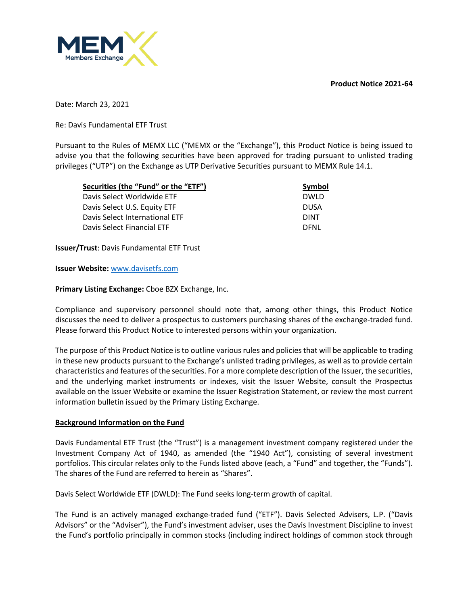**Product Notice 2021-64**



Date: March 23, 2021

Re: Davis Fundamental ETF Trust

Pursuant to the Rules of MEMX LLC ("MEMX or the "Exchange"), this Product Notice is being issued to advise you that the following securities have been approved for trading pursuant to unlisted trading privileges ("UTP") on the Exchange as UTP Derivative Securities pursuant to MEMX Rule 14.1.

| Securities (the "Fund" or the "ETF") | Symbol      |
|--------------------------------------|-------------|
| Davis Select Worldwide ETF           | <b>DWLD</b> |
| Davis Select U.S. Equity ETF         | <b>DUSA</b> |
| Davis Select International ETF       | <b>DINT</b> |
| Davis Select Financial ETF           | <b>DENI</b> |

**Issuer/Trust**: Davis Fundamental ETF Trust

**Issuer Website:** www.davisetfs.com

**Primary Listing Exchange:** Cboe BZX Exchange, Inc.

Compliance and supervisory personnel should note that, among other things, this Product Notice discusses the need to deliver a prospectus to customers purchasing shares of the exchange-traded fund. Please forward this Product Notice to interested persons within your organization.

The purpose of this Product Notice is to outline various rules and policies that will be applicable to trading in these new products pursuant to the Exchange's unlisted trading privileges, as well as to provide certain characteristics and features of the securities. For a more complete description of the Issuer, the securities, and the underlying market instruments or indexes, visit the Issuer Website, consult the Prospectus available on the Issuer Website or examine the Issuer Registration Statement, or review the most current information bulletin issued by the Primary Listing Exchange.

#### **Background Information on the Fund**

Davis Fundamental ETF Trust (the "Trust") is a management investment company registered under the Investment Company Act of 1940, as amended (the "1940 Act"), consisting of several investment portfolios. This circular relates only to the Funds listed above (each, a "Fund" and together, the "Funds"). The shares of the Fund are referred to herein as "Shares".

Davis Select Worldwide ETF (DWLD): The Fund seeks long-term growth of capital.

The Fund is an actively managed exchange-traded fund ("ETF"). Davis Selected Advisers, L.P. ("Davis Advisors" or the "Adviser"), the Fund's investment adviser, uses the Davis Investment Discipline to invest the Fund's portfolio principally in common stocks (including indirect holdings of common stock through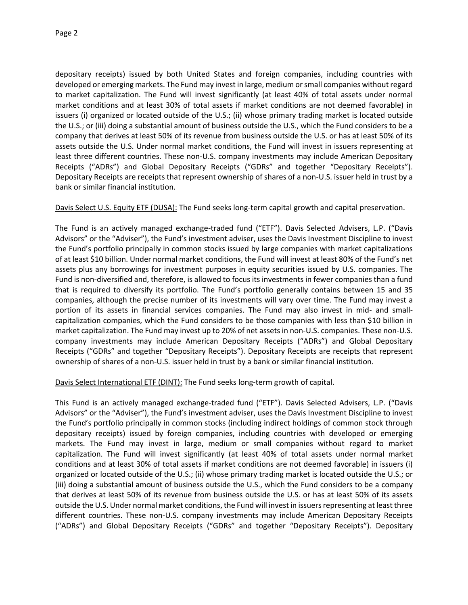depositary receipts) issued by both United States and foreign companies, including countries with developed or emerging markets. The Fund may invest in large, medium or small companies without regard to market capitalization. The Fund will invest significantly (at least 40% of total assets under normal market conditions and at least 30% of total assets if market conditions are not deemed favorable) in issuers (i) organized or located outside of the U.S.; (ii) whose primary trading market is located outside the U.S.; or (iii) doing a substantial amount of business outside the U.S., which the Fund considers to be a company that derives at least 50% of its revenue from business outside the U.S. or has at least 50% of its assets outside the U.S. Under normal market conditions, the Fund will invest in issuers representing at least three different countries. These non-U.S. company investments may include American Depositary Receipts ("ADRs") and Global Depositary Receipts ("GDRs" and together "Depositary Receipts"). Depositary Receipts are receipts that represent ownership of shares of a non-U.S. issuer held in trust by a bank or similar financial institution.

Davis Select U.S. Equity ETF (DUSA): The Fund seeks long-term capital growth and capital preservation.

The Fund is an actively managed exchange-traded fund ("ETF"). Davis Selected Advisers, L.P. ("Davis Advisors" or the "Adviser"), the Fund's investment adviser, uses the Davis Investment Discipline to invest the Fund's portfolio principally in common stocks issued by large companies with market capitalizations of at least \$10 billion. Under normal market conditions, the Fund will invest at least 80% of the Fund's net assets plus any borrowings for investment purposes in equity securities issued by U.S. companies. The Fund is non-diversified and, therefore, is allowed to focus its investments in fewer companies than a fund that is required to diversify its portfolio. The Fund's portfolio generally contains between 15 and 35 companies, although the precise number of its investments will vary over time. The Fund may invest a portion of its assets in financial services companies. The Fund may also invest in mid- and smallcapitalization companies, which the Fund considers to be those companies with less than \$10 billion in market capitalization. The Fund may invest up to 20% of net assets in non-U.S. companies. These non-U.S. company investments may include American Depositary Receipts ("ADRs") and Global Depositary Receipts ("GDRs" and together "Depositary Receipts"). Depositary Receipts are receipts that represent ownership of shares of a non-U.S. issuer held in trust by a bank or similar financial institution.

Davis Select International ETF (DINT): The Fund seeks long-term growth of capital.

This Fund is an actively managed exchange-traded fund ("ETF"). Davis Selected Advisers, L.P. ("Davis Advisors" or the "Adviser"), the Fund's investment adviser, uses the Davis Investment Discipline to invest the Fund's portfolio principally in common stocks (including indirect holdings of common stock through depositary receipts) issued by foreign companies, including countries with developed or emerging markets. The Fund may invest in large, medium or small companies without regard to market capitalization. The Fund will invest significantly (at least 40% of total assets under normal market conditions and at least 30% of total assets if market conditions are not deemed favorable) in issuers (i) organized or located outside of the U.S.; (ii) whose primary trading market is located outside the U.S.; or (iii) doing a substantial amount of business outside the U.S., which the Fund considers to be a company that derives at least 50% of its revenue from business outside the U.S. or has at least 50% of its assets outside the U.S. Under normal market conditions, the Fund will invest in issuers representing at least three different countries. These non-U.S. company investments may include American Depositary Receipts ("ADRs") and Global Depositary Receipts ("GDRs" and together "Depositary Receipts"). Depositary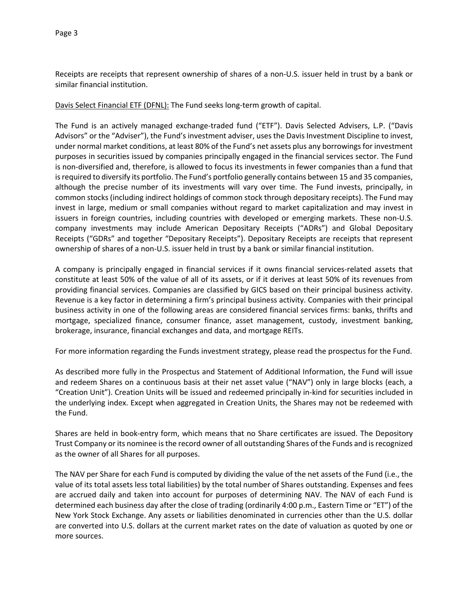Receipts are receipts that represent ownership of shares of a non-U.S. issuer held in trust by a bank or similar financial institution.

Davis Select Financial ETF (DFNL): The Fund seeks long-term growth of capital.

The Fund is an actively managed exchange-traded fund ("ETF"). Davis Selected Advisers, L.P. ("Davis Advisors" or the "Adviser"), the Fund's investment adviser, uses the Davis Investment Discipline to invest, under normal market conditions, at least 80% of the Fund's net assets plus any borrowings for investment purposes in securities issued by companies principally engaged in the financial services sector. The Fund is non-diversified and, therefore, is allowed to focus its investments in fewer companies than a fund that is required to diversify its portfolio. The Fund's portfolio generally contains between 15 and 35 companies, although the precise number of its investments will vary over time. The Fund invests, principally, in common stocks (including indirect holdings of common stock through depositary receipts). The Fund may invest in large, medium or small companies without regard to market capitalization and may invest in issuers in foreign countries, including countries with developed or emerging markets. These non-U.S. company investments may include American Depositary Receipts ("ADRs") and Global Depositary Receipts ("GDRs" and together "Depositary Receipts"). Depositary Receipts are receipts that represent ownership of shares of a non-U.S. issuer held in trust by a bank or similar financial institution.

A company is principally engaged in financial services if it owns financial services-related assets that constitute at least 50% of the value of all of its assets, or if it derives at least 50% of its revenues from providing financial services. Companies are classified by GICS based on their principal business activity. Revenue is a key factor in determining a firm's principal business activity. Companies with their principal business activity in one of the following areas are considered financial services firms: banks, thrifts and mortgage, specialized finance, consumer finance, asset management, custody, investment banking, brokerage, insurance, financial exchanges and data, and mortgage REITs.

For more information regarding the Funds investment strategy, please read the prospectus for the Fund.

As described more fully in the Prospectus and Statement of Additional Information, the Fund will issue and redeem Shares on a continuous basis at their net asset value ("NAV") only in large blocks (each, a "Creation Unit"). Creation Units will be issued and redeemed principally in-kind for securities included in the underlying index. Except when aggregated in Creation Units, the Shares may not be redeemed with the Fund.

Shares are held in book-entry form, which means that no Share certificates are issued. The Depository Trust Company or its nominee is the record owner of all outstanding Shares of the Funds and is recognized as the owner of all Shares for all purposes.

The NAV per Share for each Fund is computed by dividing the value of the net assets of the Fund (i.e., the value of its total assets less total liabilities) by the total number of Shares outstanding. Expenses and fees are accrued daily and taken into account for purposes of determining NAV. The NAV of each Fund is determined each business day after the close of trading (ordinarily 4:00 p.m., Eastern Time or "ET") of the New York Stock Exchange. Any assets or liabilities denominated in currencies other than the U.S. dollar are converted into U.S. dollars at the current market rates on the date of valuation as quoted by one or more sources.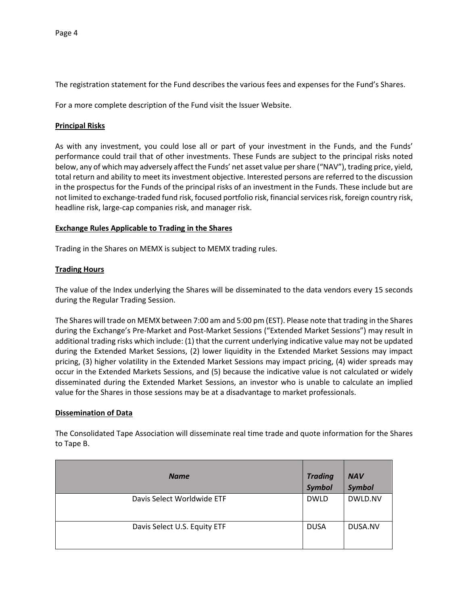The registration statement for the Fund describes the various fees and expenses for the Fund's Shares.

For a more complete description of the Fund visit the Issuer Website.

#### **Principal Risks**

As with any investment, you could lose all or part of your investment in the Funds, and the Funds' performance could trail that of other investments. These Funds are subject to the principal risks noted below, any of which may adversely affect the Funds' net asset value per share ("NAV"), trading price, yield, total return and ability to meet its investment objective. Interested persons are referred to the discussion in the prospectus for the Funds of the principal risks of an investment in the Funds. These include but are not limited to exchange-traded fund risk, focused portfolio risk, financial services risk, foreign country risk, headline risk, large-cap companies risk, and manager risk.

#### **Exchange Rules Applicable to Trading in the Shares**

Trading in the Shares on MEMX is subject to MEMX trading rules.

## **Trading Hours**

The value of the Index underlying the Shares will be disseminated to the data vendors every 15 seconds during the Regular Trading Session.

The Shares will trade on MEMX between 7:00 am and 5:00 pm (EST). Please note that trading in the Shares during the Exchange's Pre-Market and Post-Market Sessions ("Extended Market Sessions") may result in additional trading risks which include: (1) that the current underlying indicative value may not be updated during the Extended Market Sessions, (2) lower liquidity in the Extended Market Sessions may impact pricing, (3) higher volatility in the Extended Market Sessions may impact pricing, (4) wider spreads may occur in the Extended Markets Sessions, and (5) because the indicative value is not calculated or widely disseminated during the Extended Market Sessions, an investor who is unable to calculate an implied value for the Shares in those sessions may be at a disadvantage to market professionals.

#### **Dissemination of Data**

| . <i>.</i>                   |                                 |                             |
|------------------------------|---------------------------------|-----------------------------|
| <b>Name</b>                  | <b>Trading</b><br><b>Symbol</b> | <b>NAV</b><br><b>Symbol</b> |
| Davis Select Worldwide ETF   | <b>DWLD</b>                     | DWLD.NV                     |
| Davis Select U.S. Equity ETF | <b>DUSA</b>                     | DUSA.NV                     |

The Consolidated Tape Association will disseminate real time trade and quote information for the Shares to Tape B.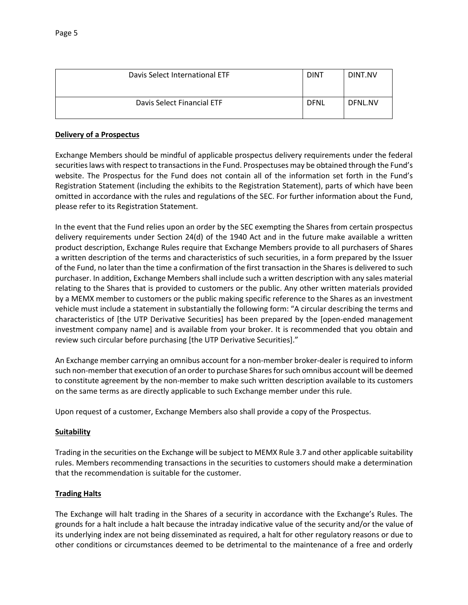| Davis Select International ETF | <b>DINT</b> | DINT.NV |
|--------------------------------|-------------|---------|
| Davis Select Financial ETF     | <b>DFNL</b> | DFNL.NV |

## **Delivery of a Prospectus**

Exchange Members should be mindful of applicable prospectus delivery requirements under the federal securities laws with respect to transactions in the Fund. Prospectuses may be obtained through the Fund's website. The Prospectus for the Fund does not contain all of the information set forth in the Fund's Registration Statement (including the exhibits to the Registration Statement), parts of which have been omitted in accordance with the rules and regulations of the SEC. For further information about the Fund, please refer to its Registration Statement.

In the event that the Fund relies upon an order by the SEC exempting the Shares from certain prospectus delivery requirements under Section 24(d) of the 1940 Act and in the future make available a written product description, Exchange Rules require that Exchange Members provide to all purchasers of Shares a written description of the terms and characteristics of such securities, in a form prepared by the Issuer of the Fund, no later than the time a confirmation of the first transaction in the Shares is delivered to such purchaser. In addition, Exchange Members shall include such a written description with any sales material relating to the Shares that is provided to customers or the public. Any other written materials provided by a MEMX member to customers or the public making specific reference to the Shares as an investment vehicle must include a statement in substantially the following form: "A circular describing the terms and characteristics of [the UTP Derivative Securities] has been prepared by the [open-ended management investment company name] and is available from your broker. It is recommended that you obtain and review such circular before purchasing [the UTP Derivative Securities]."

An Exchange member carrying an omnibus account for a non-member broker-dealer is required to inform such non-member that execution of an order to purchase Shares for such omnibus account will be deemed to constitute agreement by the non-member to make such written description available to its customers on the same terms as are directly applicable to such Exchange member under this rule.

Upon request of a customer, Exchange Members also shall provide a copy of the Prospectus.

## **Suitability**

Trading in the securities on the Exchange will be subject to MEMX Rule 3.7 and other applicable suitability rules. Members recommending transactions in the securities to customers should make a determination that the recommendation is suitable for the customer.

## **Trading Halts**

The Exchange will halt trading in the Shares of a security in accordance with the Exchange's Rules. The grounds for a halt include a halt because the intraday indicative value of the security and/or the value of its underlying index are not being disseminated as required, a halt for other regulatory reasons or due to other conditions or circumstances deemed to be detrimental to the maintenance of a free and orderly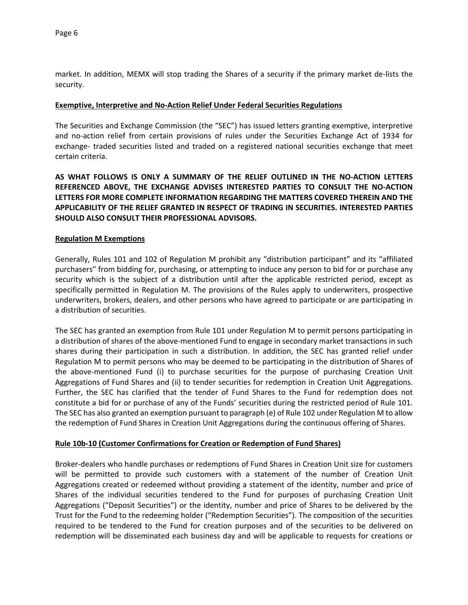market. In addition, MEMX will stop trading the Shares of a security if the primary market de-lists the security.

## **Exemptive, Interpretive and No-Action Relief Under Federal Securities Regulations**

The Securities and Exchange Commission (the "SEC") has issued letters granting exemptive, interpretive and no-action relief from certain provisions of rules under the Securities Exchange Act of 1934 for exchange- traded securities listed and traded on a registered national securities exchange that meet certain criteria.

**AS WHAT FOLLOWS IS ONLY A SUMMARY OF THE RELIEF OUTLINED IN THE NO-ACTION LETTERS REFERENCED ABOVE, THE EXCHANGE ADVISES INTERESTED PARTIES TO CONSULT THE NO-ACTION LETTERS FOR MORE COMPLETE INFORMATION REGARDING THE MATTERS COVERED THEREIN AND THE APPLICABILITY OF THE RELIEF GRANTED IN RESPECT OF TRADING IN SECURITIES. INTERESTED PARTIES SHOULD ALSO CONSULT THEIR PROFESSIONAL ADVISORS.**

#### **Regulation M Exemptions**

Generally, Rules 101 and 102 of Regulation M prohibit any "distribution participant" and its "affiliated purchasers" from bidding for, purchasing, or attempting to induce any person to bid for or purchase any security which is the subject of a distribution until after the applicable restricted period, except as specifically permitted in Regulation M. The provisions of the Rules apply to underwriters, prospective underwriters, brokers, dealers, and other persons who have agreed to participate or are participating in a distribution of securities.

The SEC has granted an exemption from Rule 101 under Regulation M to permit persons participating in a distribution of shares of the above-mentioned Fund to engage in secondary market transactions in such shares during their participation in such a distribution. In addition, the SEC has granted relief under Regulation M to permit persons who may be deemed to be participating in the distribution of Shares of the above-mentioned Fund (i) to purchase securities for the purpose of purchasing Creation Unit Aggregations of Fund Shares and (ii) to tender securities for redemption in Creation Unit Aggregations. Further, the SEC has clarified that the tender of Fund Shares to the Fund for redemption does not constitute a bid for or purchase of any of the Funds' securities during the restricted period of Rule 101. The SEC has also granted an exemption pursuant to paragraph (e) of Rule 102 under Regulation M to allow the redemption of Fund Shares in Creation Unit Aggregations during the continuous offering of Shares.

#### **Rule 10b-10 (Customer Confirmations for Creation or Redemption of Fund Shares)**

Broker-dealers who handle purchases or redemptions of Fund Shares in Creation Unit size for customers will be permitted to provide such customers with a statement of the number of Creation Unit Aggregations created or redeemed without providing a statement of the identity, number and price of Shares of the individual securities tendered to the Fund for purposes of purchasing Creation Unit Aggregations ("Deposit Securities") or the identity, number and price of Shares to be delivered by the Trust for the Fund to the redeeming holder ("Redemption Securities"). The composition of the securities required to be tendered to the Fund for creation purposes and of the securities to be delivered on redemption will be disseminated each business day and will be applicable to requests for creations or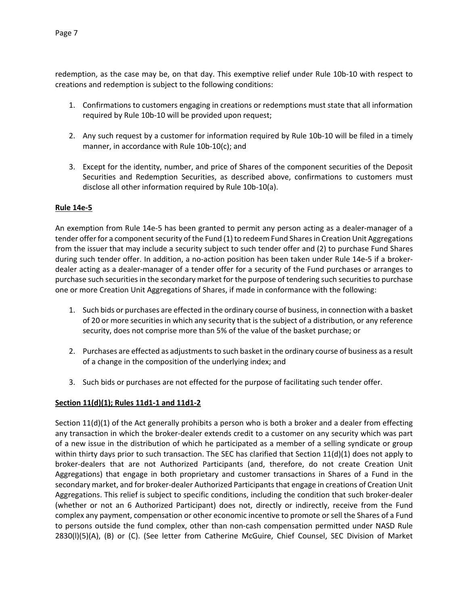redemption, as the case may be, on that day. This exemptive relief under Rule 10b-10 with respect to creations and redemption is subject to the following conditions:

- 1. Confirmations to customers engaging in creations or redemptions must state that all information required by Rule 10b-10 will be provided upon request;
- 2. Any such request by a customer for information required by Rule 10b-10 will be filed in a timely manner, in accordance with Rule 10b-10(c); and
- 3. Except for the identity, number, and price of Shares of the component securities of the Deposit Securities and Redemption Securities, as described above, confirmations to customers must disclose all other information required by Rule 10b-10(a).

# **Rule 14e-5**

An exemption from Rule 14e-5 has been granted to permit any person acting as a dealer-manager of a tender offer for a component security of the Fund (1) to redeem Fund Shares in Creation Unit Aggregations from the issuer that may include a security subject to such tender offer and (2) to purchase Fund Shares during such tender offer. In addition, a no-action position has been taken under Rule 14e-5 if a brokerdealer acting as a dealer-manager of a tender offer for a security of the Fund purchases or arranges to purchase such securities in the secondary market for the purpose of tendering such securities to purchase one or more Creation Unit Aggregations of Shares, if made in conformance with the following:

- 1. Such bids or purchases are effected in the ordinary course of business, in connection with a basket of 20 or more securities in which any security that is the subject of a distribution, or any reference security, does not comprise more than 5% of the value of the basket purchase; or
- 2. Purchases are effected as adjustments to such basket in the ordinary course of business as a result of a change in the composition of the underlying index; and
- 3. Such bids or purchases are not effected for the purpose of facilitating such tender offer.

# **Section 11(d)(1); Rules 11d1-1 and 11d1-2**

Section 11(d)(1) of the Act generally prohibits a person who is both a broker and a dealer from effecting any transaction in which the broker-dealer extends credit to a customer on any security which was part of a new issue in the distribution of which he participated as a member of a selling syndicate or group within thirty days prior to such transaction. The SEC has clarified that Section 11(d)(1) does not apply to broker-dealers that are not Authorized Participants (and, therefore, do not create Creation Unit Aggregations) that engage in both proprietary and customer transactions in Shares of a Fund in the secondary market, and for broker-dealer Authorized Participants that engage in creations of Creation Unit Aggregations. This relief is subject to specific conditions, including the condition that such broker-dealer (whether or not an 6 Authorized Participant) does not, directly or indirectly, receive from the Fund complex any payment, compensation or other economic incentive to promote or sell the Shares of a Fund to persons outside the fund complex, other than non-cash compensation permitted under NASD Rule 2830(l)(5)(A), (B) or (C). (See letter from Catherine McGuire, Chief Counsel, SEC Division of Market